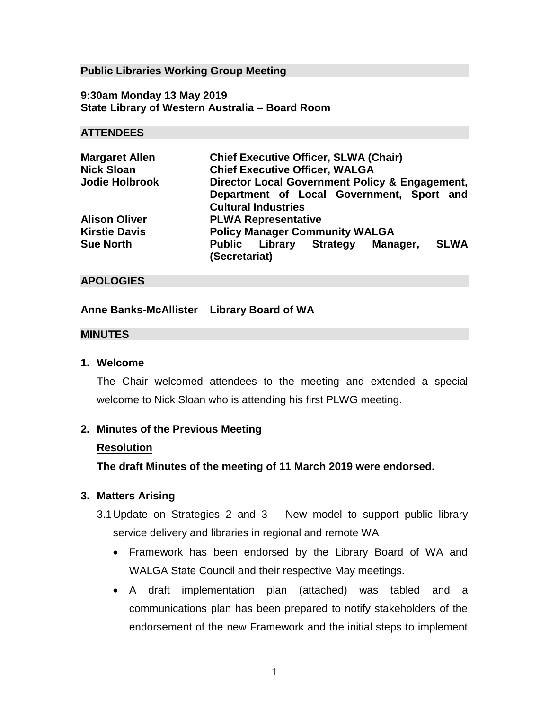## **Public Libraries Working Group Meeting**

**9:30am Monday 13 May 2019 State Library of Western Australia – Board Room**

### **ATTENDEES**

| <b>Margaret Allen</b> | <b>Chief Executive Officer, SLWA (Chair)</b>                               |
|-----------------------|----------------------------------------------------------------------------|
| <b>Nick Sloan</b>     | <b>Chief Executive Officer, WALGA</b>                                      |
| <b>Jodie Holbrook</b> | Director Local Government Policy & Engagement,                             |
|                       | Department of Local Government, Sport and                                  |
|                       | <b>Cultural Industries</b>                                                 |
| <b>Alison Oliver</b>  | <b>PLWA Representative</b>                                                 |
| <b>Kirstie Davis</b>  | <b>Policy Manager Community WALGA</b>                                      |
| <b>Sue North</b>      | <b>SLWA</b><br><b>Public Library Strategy</b><br>Manager,<br>(Secretariat) |

## **APOLOGIES**

## **Anne Banks-McAllister Library Board of WA**

#### **MINUTES**

### **1. Welcome**

The Chair welcomed attendees to the meeting and extended a special welcome to Nick Sloan who is attending his first PLWG meeting.

#### **2. Minutes of the Previous Meeting**

#### **Resolution**

**The draft Minutes of the meeting of 11 March 2019 were endorsed.**

## **3. Matters Arising**

- 3.1Update on Strategies 2 and 3 New model to support public library service delivery and libraries in regional and remote WA
	- Framework has been endorsed by the Library Board of WA and WALGA State Council and their respective May meetings.
	- A draft implementation plan (attached) was tabled and a communications plan has been prepared to notify stakeholders of the endorsement of the new Framework and the initial steps to implement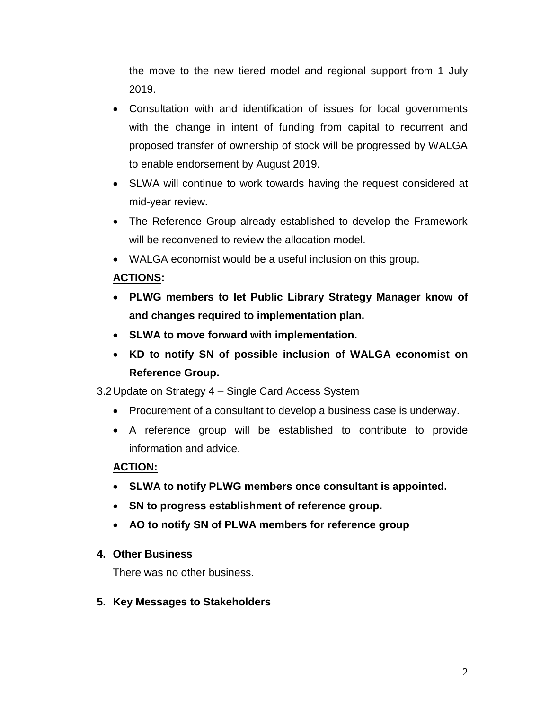the move to the new tiered model and regional support from 1 July 2019.

- Consultation with and identification of issues for local governments with the change in intent of funding from capital to recurrent and proposed transfer of ownership of stock will be progressed by WALGA to enable endorsement by August 2019.
- SLWA will continue to work towards having the request considered at mid-year review.
- The Reference Group already established to develop the Framework will be reconvened to review the allocation model.
- WALGA economist would be a useful inclusion on this group.

# **ACTIONS:**

- **PLWG members to let Public Library Strategy Manager know of and changes required to implementation plan.**
- **SLWA to move forward with implementation.**
- **KD to notify SN of possible inclusion of WALGA economist on Reference Group.**

3.2Update on Strategy 4 – Single Card Access System

- Procurement of a consultant to develop a business case is underway.
- A reference group will be established to contribute to provide information and advice.

## **ACTION:**

- **SLWA to notify PLWG members once consultant is appointed.**
- **SN to progress establishment of reference group.**
- **AO to notify SN of PLWA members for reference group**

## **4. Other Business**

There was no other business.

**5. Key Messages to Stakeholders**